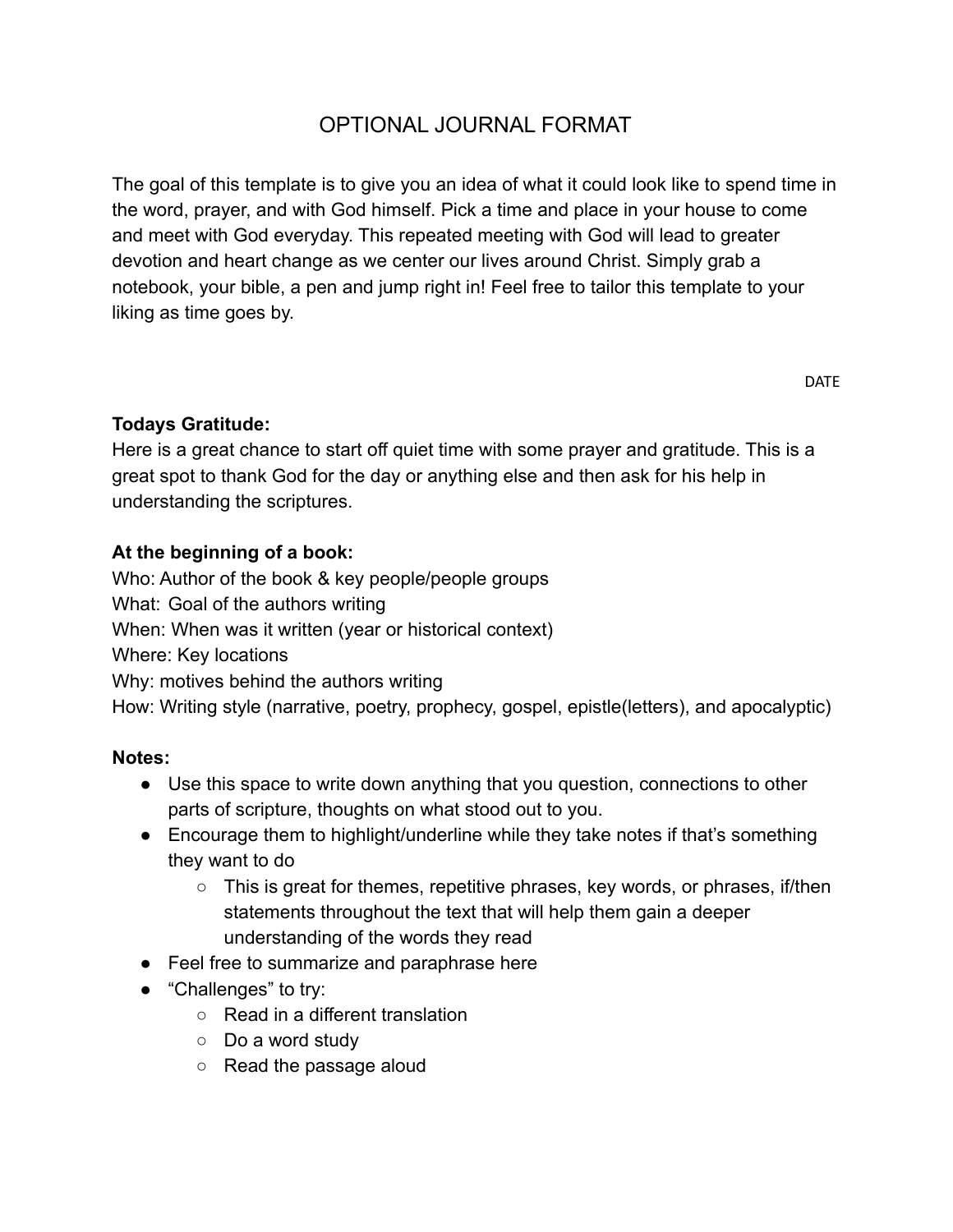# OPTIONAL JOURNAL FORMAT

The goal of this template is to give you an idea of what it could look like to spend time in the word, prayer, and with God himself. Pick a time and place in your house to come and meet with God everyday. This repeated meeting with God will lead to greater devotion and heart change as we center our lives around Christ. Simply grab a notebook, your bible, a pen and jump right in! Feel free to tailor this template to your liking as time goes by.

#### **Todays Gratitude:**

Here is a great chance to start off quiet time with some prayer and gratitude. This is a great spot to thank God for the day or anything else and then ask for his help in understanding the scriptures.

#### **At the beginning of a book:**

Who: Author of the book & key people/people groups What: Goal of the authors writing When: When was it written (year or historical context) Where: Key locations Why: motives behind the authors writing How: Writing style (narrative, poetry, prophecy, gospel, epistle(letters), and apocalyptic)

#### **Notes:**

- Use this space to write down anything that you question, connections to other parts of scripture, thoughts on what stood out to you.
- Encourage them to highlight/underline while they take notes if that's something they want to do
	- This is great for themes, repetitive phrases, key words, or phrases, if/then statements throughout the text that will help them gain a deeper understanding of the words they read
- Feel free to summarize and paraphrase here
- "Challenges" to try:
	- Read in a different translation
	- Do a word study
	- Read the passage aloud